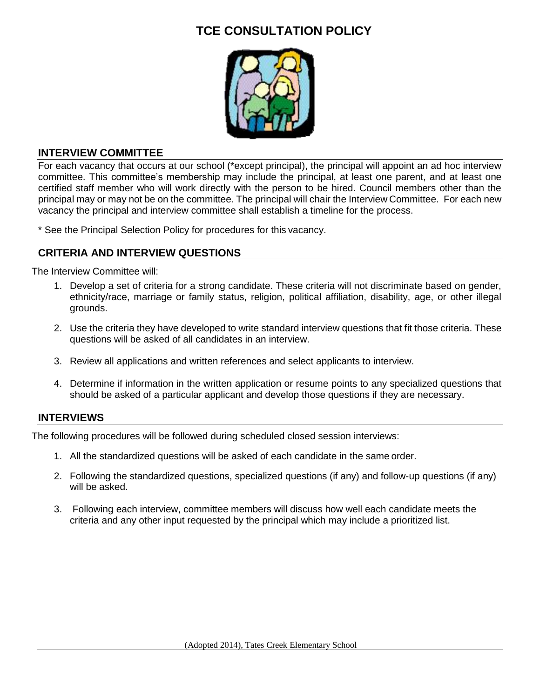# **TCE CONSULTATION POLICY**



# **INTERVIEW COMMITTEE**

For each vacancy that occurs at our school (\*except principal), the principal will appoint an ad hoc interview committee. This committee's membership may include the principal, at least one parent, and at least one certified staff member who will work directly with the person to be hired. Council members other than the principal may or may not be on the committee. The principal will chair the Interview Committee. For each new vacancy the principal and interview committee shall establish a timeline for the process.

\* See the Principal Selection Policy for procedures for this vacancy.

#### **CRITERIA AND INTERVIEW QUESTIONS**

The Interview Committee will:

- 1. Develop a set of criteria for a strong candidate. These criteria will not discriminate based on gender, ethnicity/race, marriage or family status, religion, political affiliation, disability, age, or other illegal grounds.
- 2. Use the criteria they have developed to write standard interview questions that fit those criteria. These questions will be asked of all candidates in an interview.
- 3. Review all applications and written references and select applicants to interview.
- 4. Determine if information in the written application or resume points to any specialized questions that should be asked of a particular applicant and develop those questions if they are necessary.

# **INTERVIEWS**

The following procedures will be followed during scheduled closed session interviews:

- 1. All the standardized questions will be asked of each candidate in the same order.
- 2. Following the standardized questions, specialized questions (if any) and follow-up questions (if any) will be asked.
- 3. Following each interview, committee members will discuss how well each candidate meets the criteria and any other input requested by the principal which may include a prioritized list.